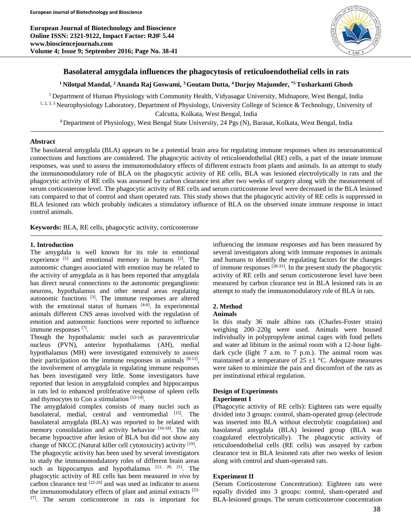**European Journal of Biotechnology and Bioscience Online ISSN: 2321-9122, Impact Factor: RJIF 5.44 www.biosciencejournals.com Volume 4; Issue 9; September 2016; Page No. 38-41**



# **Basolateral amygdala influences the phagocytosis of reticuloendothelial cells in rats**

# **<sup>1</sup> Nilotpal Mandal, <sup>2</sup> Ananda Raj Goswami, <sup>3</sup>Goutam Dutta, <sup>4</sup>Durjoy Majumder, \*5 Tusharkanti Ghosh**

<sup>1</sup> Department of Human Physiology with Community Health, Vidyasagar University, Midnapore, West Bengal, India 1, 2, 3, 5 Neurophysiology Laboratory, Department of Physiology, University College of Science & Technology, University of Calcutta, Kolkata, West Bengal, India

<sup>4</sup> Department of Physiology, West Bengal State University, 24 Pgs (N), Barasat, Kolkata, West Bengal, India

### **Abstract**

The basolateral amygdala (BLA) appears to be a potential brain area for regulating immune responses when its neuroanatomical connections and functions are considered. The phagocytic activity of reticuloendothelial (RE) cells, a part of the innate immune responses, was used to assess the immunomodulatory effects of different extracts from plants and animals. In an attempt to study the immunomodulatory role of BLA on the phagocytic activity of RE cells, BLA was lesioned electrolytically in rats and the phagocytic activity of RE cells was assessed by carbon clearance test after two weeks of surgery along with the measurement of serum corticosterone level. The phagocytic activity of RE cells and serum corticosterone level were decreased in the BLA lesioned rats compared to that of control and sham operated rats. This study shows that the phagocytic activity of RE cells is suppressed in BLA lesioned rats which probably indicates a stimulatory influence of BLA on the observed innate immune response in intact control animals.

**Keywords:** BLA, RE cells, phagocytic activity, corticosterone

### **1. Introduction**

The amygdala is well known for its role in emotional experience  $[1]$  and emotional memory in humans  $[2]$ . The autonomic changes associated with emotion may be related to the activity of amygdala as it has been reported that amygdala has direct neural connections to the autonomic preganglionic neurons, hypothalamus and other neural areas regulating autonomic functions  $[3]$ . The immune responses are altered with the emotional status of humans  $[4-6]$ . In experimental animals different CNS areas involved with the regulation of emotion and autonomic functions were reported to influence immune responses [7].

Though the hypothalamic nuclei such as paraventricular nucleus (PVN), anterior hypothalamus (AH), medial hypothalamus (MH) were investigated extensively to assess their participation on the immune responses in animals  $[8-11]$ , the involvement of amygdala in regulating immune responses has been investigated very little. Some investigators have reported that lesion in amygdaloid complex and hippocampus in rats led to enhanced proliferative response of spleen cells and thymocytes to Con a stimulation  $[12-14]$ .

The amygdaloid complex consists of many nuclei such as basolateral, medial, central and ventromedial [15]. The basolateral amygdala (BLA) was reported to be related with memory consolidation and activity behavior [16-18]. The rats became hypoactive after lesion of BLA but did not show any change of NKCC (Natural killer cell cytotoxicity) activity [19].

The phagocytic activity has been used by several investigators to study the immunomodulatory roles of different brain areas such as hippocampus and hypothalamus  $[11, 20, 21]$ . The phagocytic activity of RE cells has been measured *in vivo* by carbon clearance test [22-26] and was used as indicator to assess the immunomodulatory effects of plant and animal extracts [23- 27] . The serum corticosterone in rats is important for influencing the immune responses and has been measured by several investigators along with immune responses in animals and humans to identify the regulating factors for the changes of immune responses [28-31] . In the present study the phagocytic activity of RE cells and serum corticosterone level have been measured by carbon clearance test in BLA lesioned rats in an attempt to study the immunomodulatory role of BLA in rats.

#### **2. Method**

#### **Animals**

In this study 36 male albino rats (Charles-Foster strain) weighing 200–220g were used. Animals were housed individually in polypropylene animal cages with food pellets and water ad libitum in the animal room with a 12-hour lightdark cycle (light 7 a.m. to 7 p.m.). The animal room was maintained at a temperature of  $25 \pm 1$  °C. Adequate measures were taken to minimize the pain and discomfort of the rats as per institutional ethical regulation.

# **Design of Experiments**

# **Experiment I**

(Phagocytic activity of RE cells): Eighteen rats were equally divided into 3 groups: control, sham-operated group (electrode was inserted into BLA without electrolytic coagulation) and basolateral amygdala (BLA) lesioned group (BLA was coagulated electrolytically). The phagocytic activity of reticuloendothelial cells (RE cells) was assayed by carbon clearance test in BLA lesioned rats after two weeks of lesion along with control and sham-operated rats.

## **Experiment II**

(Serum Corticosterone Concentration): Eighteen rats were equally divided into 3 groups: control, sham-operated and BLA-lesioned groups. The serum corticosterone concentration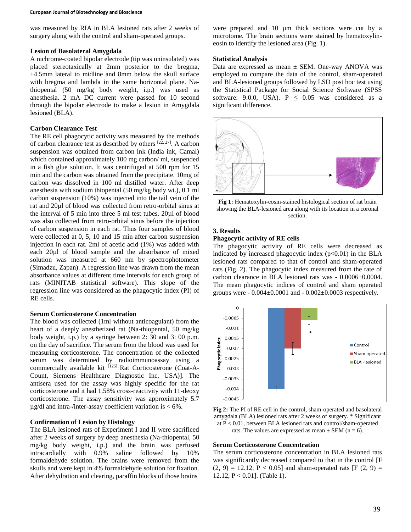was measured by RIA in BLA lesioned rats after 2 weeks of surgery along with the control and sham-operated groups.

### **Lesion of Basolateral Amygdala**

A nichrome-coated bipolar electrode (tip was uninsulated) was placed stereotaxically at 2mm posterior to the bregma, ±4.5mm lateral to midline and 8mm below the skull surface with bregma and lambda in the same horizontal plane. Nathiopental (50 mg/kg body weight, i.p.) was used as anesthesia. 2 mA DC current were passed for 10 second through the bipolar electrode to make a lesion in Amygdala lesioned (BLA).

## **Carbon Clearance Test**

The RE cell phagocytic activity was measured by the methods of carbon clearance test as described by others  $[22, 27]$ . A carbon suspension was obtained from carbon ink (India ink, Camal) which contained approximately 100 mg carbon/ ml, suspended in a fish glue solution. It was centrifuged at 500 rpm for 15 min and the carbon was obtained from the precipitate. 10mg of carbon was dissolved in 100 ml distilled water. After deep anesthesia with sodium thiopental (50 mg/kg body wt.), 0.1 ml carbon suspension (10%) was injected into the tail vein of the rat and 20µl of blood was collected from retro-orbital sinus at the interval of 5 min into three 5 ml test tubes. 20µl of blood was also collected from retro-orbital sinus before the injection of carbon suspension in each rat. Thus four samples of blood were collected at 0, 5, 10 and 15 min after carbon suspension injection in each rat. 2ml of acetic acid (1%) was added with each 20µl of blood sample and the absorbance of mixed solution was measured at 660 nm by spectrophotometer (Simadzu, Zapan). A regression line was drawn from the mean absorbance values at different time intervals for each group of rats (MINITAB statistical software). This slope of the regression line was considered as the phagocytic index (PI) of RE cells.

## **Serum Corticosterone Concentration**

The blood was collected (1ml without anticoagulant) from the heart of a deeply anesthetized rat (Na-thiopental, 50 mg/kg body weight, i.p.) by a syringe between 2: 30 and 3: 00 p.m. on the day of sacrifice. The serum from the blood was used for measuring corticosterone. The concentration of the collected serum was determined by radioimmunoassay using a commercially available kit  $[125]$  Rat Corticosterone (Coat-A-Count, Siemens Healthcare Diagnostic Inc, USA)]. The antisera used for the assay was highly specific for the rat corticosterone and it had 1.58% cross-reactivity with 11-deoxy corticosterone. The assay sensitivity was approximately 5.7  $\mu$ g/dl and intra-/inter-assay coefficient variation is < 6%.

# **Confirmation of Lesion by Histology**

The BLA lesioned rats of Experiment I and II were sacrificed after 2 weeks of surgery by deep anesthesia (Na-thiopental, 50 mg/kg body weight, i.p.) and the brain was perfused intracardially with 0.9% saline followed by 10% formaldehyde solution. The brains were removed from the skulls and were kept in 4% formaldehyde solution for fixation. After dehydration and clearing, paraffin blocks of those brains

were prepared and 10 µm thick sections were cut by a microtome. The brain sections were stained by hematoxylineosin to identify the lesioned area (Fig. 1).

## **Statistical Analysis**

Data are expressed as mean ± SEM. One-way ANOVA was employed to compare the data of the control, sham-operated and BLA-lesioned groups followed by LSD post hoc test using the Statistical Package for Social Science Software (SPSS software: 9.0.0, USA).  $P \leq 0.05$  was considered as a significant difference.



**Fig 1:** Hematoxylin-eosin-stained histological section of rat brain showing the BLA-lesioned area along with its location in a coronal section.

### **3. Results**

### **Phagocytic activity of RE cells**

The phagocytic activity of RE cells were decreased as indicated by increased phagocytic index  $(p<0.01)$  in the BLA lesioned rats compared to that of control and sham-operated rats (Fig. 2). The phagocytic index measured from the rate of carbon clearance in BLA lesioned rats was - 0.0006±0.0004. The mean phagocytic indices of control and sham operated groups were  $-0.004\pm0.0001$  and  $-0.002\pm0.0003$  respectively.



**Fig 2:** The PI of RE cell in the control, sham-operated and basolateral amygdala (BLA) lesioned rats after 2 weeks of surgery. \* Significant at P < 0.01, between BLA lesioned rats and control/sham-operated rats. The values are expressed as mean  $\pm$  SEM (n = 6).

#### **Serum Corticosterone Concentration**

The serum corticosterone concentration in BLA lesioned rats was significantly decreased compared to that in the control [F  $(2, 9) = 12.12$ ,  $P < 0.05$ ] and sham-operated rats [F  $(2, 9) =$ 12.12, P < 0.01]. (Table 1).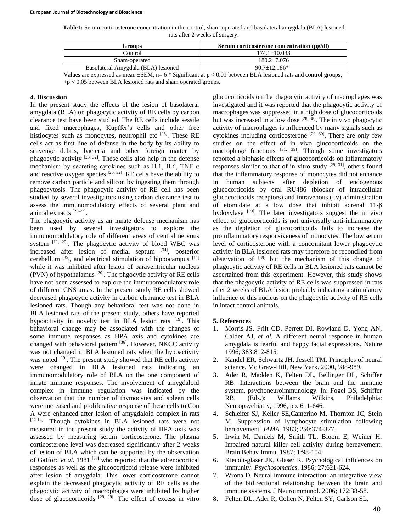**Table1:** Serum corticosterone concentration in the control, sham-operated and basolateral amygdala (BLA) lesioned rats after 2 weeks of surgery.

| Serum corticosterone concentration (µg/dl) |
|--------------------------------------------|
| $174.1 + 10.033$                           |
| $180.2 + 7.076$                            |
| $90.7+12.186^{*,+}$                        |
| $\alpha$                                   |

Values are expressed as mean  $\pm$ SEM, n= 6  $*$  Significant at p < 0.01 between BLA lesioned rats and control groups,  $+p < 0.05$  between BLA lesioned rats and sham operated groups.

## **4. Discussion**

In the present study the effects of the lesion of basolateral amygdala (BLA) on phagocytic activity of RE cells by carbon clearance test have been studied. The RE cells include sessile and fixed macrophages, Kupffer's cells and other free histiocytes such as monocytes, neutrophil etc <sup>[26]</sup>. These RE cells act as first line of defense in the body by its ability to scavenge debris, bacteria and other foreign matter by phagocytic activity  $[23, 32]$ . These cells also help in the defense mechanism by secreting cytokines such as IL1, IL6, TNF  $\alpha$ and reactive oxygen species  $[25, 32]$ . RE cells have the ability to remove carbon particle and silicon by ingesting them through phagocytosis. The phagocytic activity of RE cell has been studied by several investigators using carbon clearance test to assess the immunomodulatory effects of several plant and animal extracts [23-27].

The phagocytic activity as an innate defense mechanism has been used by several investigators to explore the immunomodulatory role of different areas of central nervous system  $[11, 20]$ . The phagocytic activity of blood WBC was increased after lesion of medial septum [34] , posterior cerebellum  $^{[35]}$ , and electrical stimulation of hippocampus  $^{[11]}$ while it was inhibited after lesion of paraventricular nucleus  $(PVN)$  of hypothalamus  $^{[20]}$ . The phgocytic activity of RE cells have not been assessed to explore the immunomodulatory role of different CNS areas. In the present study RE cells showed decreased phagocytic activity in carbon clearance test in BLA lesioned rats. Though any behavioral test was not done in BLA lesioned rats of the present study, others have reported hypoactivity in novelty test in BLA lesion rats [19]. This behavioral change may be associated with the changes of some immune responses as HPA axis and cytokines are changed with behavioral pattern [36]. However, NKCC activity was not changed in BLA lesioned rats when the hypoactivity was noted <sup>[19]</sup>. The present study showed that RE cells activity were changed in BLA lesioned rats indicating an immunomodulatory role of BLA on the one component of innate immune responses. The involvement of amygdaloid complex in immune regulation was indicated by the observation that the number of thymocytes and spleen cells were increased and proliferative response of these cells to Con A were enhanced after lesion of amygdaloid complex in rats [12-14]. Though cytokines in BLA lesioned rats were not measured in the present study the activity of HPA axis was assessed by measuring serum corticosterone. The plasma corticosterone level was decreased significantly after 2 weeks of lesion of BLA which can be supported by the observation of Gafford *et al.* 1981<sup>[37]</sup> who reported that the adrenocortical responses as well as the glucocorticoid release were inhibited after lesion of amygdala. This lower corticosterone cannot explain the decreased phagocytic activity of RE cells as the phagocytic activity of macrophages were inhibited by higher dose of glucocorticoids [28, 38] . The effect of excess in vitro

glucocorticoids on the phagocytic activity of macrophages was investigated and it was reported that the phagocytic activity of macrophages was suppressed in a high dose of glucocorticoids but was increased in a low dose  $[28, 38]$ . The in vivo phagocytic activity of macrophages is influenced by many signals such as cytokines including corticosterone  $[29, 30]$ . There are only few studies on the effect of in vivo glucocorticoids on the macrophage functions  $[31, 39]$ . Though some investigators reported a biphasic effects of glucocorticoids on inflammatory responses similar to that of in vitro study  $[29, 31]$ , others found that the inflammatory response of monocytes did not enhance in human subjects after depletion of endogenous glucocorticoids by oral RU486 (blocker of intracellular glucocorticoids receptors) and intravenous (i.v) administration of etomidate at a low dose that inhibit adrenal 11-β hydoxylase  $[39]$ . The later investigators suggest the in vivo effect of glucocorticoids is not universally anti-inflammatory as the depletion of glucocorticoids fails to increase the proinflammatory responsiveness of monocytes. The low serum level of corticosterone with a concomitant lower phagocytic activity in BLA lesioned rats may therefore be reconciled from observation of  $[39]$  but the mechanism of this change of phagocytic activity of RE cells in BLA lesioned rats cannot be ascertained from this experiment. However, this study shows that the phagocytic activity of RE cells was suppressed in rats after 2 weeks of BLA lesion probably indicating a stimulatory influence of this nucleus on the phagocytic activity of RE cells in intact control animals.

#### **5. References**

- 1. Morris JS, Frilt CD, Perrett DI, Rowland D, Yong AN, Calder AJ, *et al.* A different neural response in human amygdala is fearful and happy facial expressions*.* Nature 1996; 383:812-815.
- 2. Kandel ER, Schwartz JH, Jessell TM. Principles of neural science. Mc Graw-Hill, New Yark. 2000, 988-989.
- 3. Ader R, Madden K, Felten DL, Bellinger DL, Schiffer RB. Interactions between the brain and the immune system, psychoneuroimmunology. In: Fogel BS, Schiffer RB, (Eds.): Willams Wilkins, Philadelphia: Neuropsychiatry, 1996, pp. 611-646.
- 4. Schleifer SJ, Keller SE,Camerino M, Thornton JC, Stein M. Suppression of lymphocyte stimulation following bereavement. *JAMA.* 1983; 250:374-377.
- 5. Irwin M, Daniels M, Smith TL, Bloom E, Weiner H. Impaired natural killer cell activity during bereavement. Brain Behav Immu. 1987; 1:98-104.
- 6. Kiecolt-glaser JK, Glaser R. Psychological influences on immunity. *Psychosomatics*. 1986; 27:621-624.
- 7. Wrona D. Neural immune interaction: an integrative view of the bidirectional relationship between the brain and immune systems. J Neuroimmunol. 2006; 172:38-58.
- 8. Felten DL, Ader R, Cohen N, Felten SY, Carlson SL,